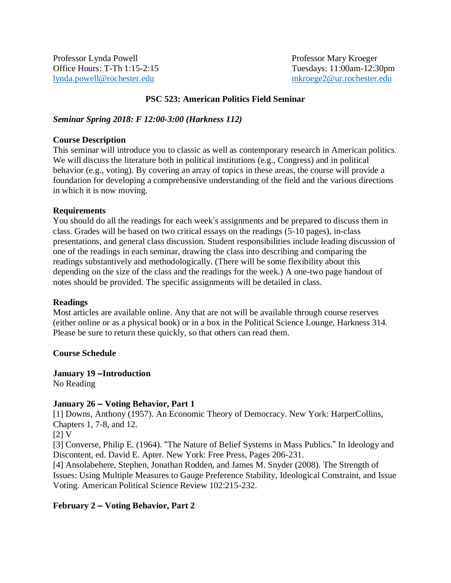Professor Lynda Powell **Professor Mary Kroeger** Professor Mary Kroeger Office Hours: T-Th 1:15-2:15 Tuesdays: 11:00am-12:30pm [lynda.powell@rochester.edu](mailto:lynda.powell@rochester.edu) [mkroege2@ur.rochester.edu](mailto:mkroege2@ur.rochester.edu)

### **PSC 523: American Politics Field Seminar**

### *Seminar Spring 2018: F 12:00-3:00 (Harkness 112)*

### **Course Description**

This seminar will introduce you to classic as well as contemporary research in American politics. We will discuss the literature both in political institutions (e.g., Congress) and in political behavior (e.g., voting). By covering an array of topics in these areas, the course will provide a foundation for developing a comprehensive understanding of the field and the various directions in which it is now moving.

### **Requirements**

You should do all the readings for each week's assignments and be prepared to discuss them in class. Grades will be based on two critical essays on the readings (5-10 pages), in-class presentations, and general class discussion. Student responsibilities include leading discussion of one of the readings in each seminar, drawing the class into describing and comparing the readings substantively and methodologically. (There will be some flexibility about this depending on the size of the class and the readings for the week.) A one-two page handout of notes should be provided. The specific assignments will be detailed in class.

#### **Readings**

Most articles are available online. Any that are not will be available through course reserves (either online or as a physical book) or in a box in the Political Science Lounge, Harkness 314. Please be sure to return these quickly, so that others can read them.

### **Course Schedule**

### **January 19 –Introduction**

No Reading

### **January 26 – Voting Behavior, Part 1**

[1] Downs, Anthony (1957). An Economic Theory of Democracy. New York: HarperCollins, Chapters 1, 7-8, and 12.

 $[2] V$ 

[3] Converse, Philip E. (1964). "The Nature of Belief Systems in Mass Publics." In Ideology and Discontent, ed. David E. Apter. New York: Free Press, Pages 206-231.

[4] Ansolabehere, Stephen, Jonathan Rodden, and James M. Snyder (2008). The Strength of Issues: Using Multiple Measures to Gauge Preference Stability, Ideological Constraint, and Issue Voting. American Political Science Review 102:215-232.

### **February 2 – Voting Behavior, Part 2**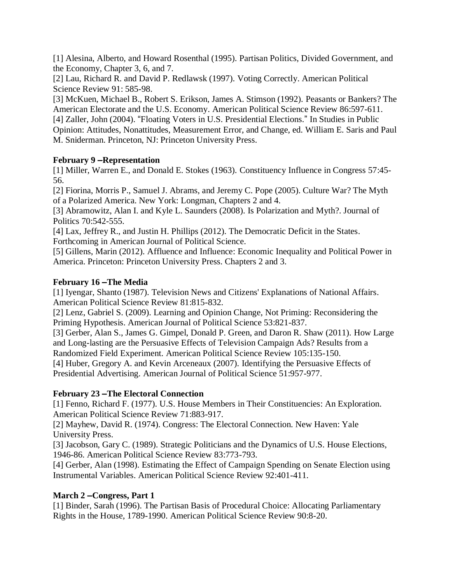[1] Alesina, Alberto, and Howard Rosenthal (1995). Partisan Politics, Divided Government, and the Economy, Chapter 3, 6, and 7.

[2] Lau, Richard R. and David P. Redlawsk (1997). Voting Correctly. American Political Science Review 91: 585-98.

[3] McKuen, Michael B., Robert S. Erikson, James A. Stimson (1992). Peasants or Bankers? The American Electorate and the U.S. Economy. American Political Science Review 86:597-611. [4] Zaller, John (2004). "Floating Voters in U.S. Presidential Elections." In Studies in Public Opinion: Attitudes, Nonattitudes, Measurement Error, and Change, ed. William E. Saris and Paul M. Sniderman. Princeton, NJ: Princeton University Press.

# **February 9 –Representation**

[1] Miller, Warren E., and Donald E. Stokes (1963). Constituency Influence in Congress 57:45- 56.

[2] Fiorina, Morris P., Samuel J. Abrams, and Jeremy C. Pope (2005). Culture War? The Myth of a Polarized America. New York: Longman, Chapters 2 and 4.

[3] Abramowitz, Alan I. and Kyle L. Saunders (2008). Is Polarization and Myth?. Journal of Politics 70:542-555.

[4] Lax, Jeffrey R., and Justin H. Phillips (2012). The Democratic Deficit in the States. Forthcoming in American Journal of Political Science.

[5] Gillens, Marin (2012). Affluence and Influence: Economic Inequality and Political Power in America. Princeton: Princeton University Press. Chapters 2 and 3.

## **February 16 –The Media**

[1] Iyengar, Shanto (1987). Television News and Citizens' Explanations of National Affairs. American Political Science Review 81:815-832.

[2] Lenz, Gabriel S. (2009). Learning and Opinion Change, Not Priming: Reconsidering the Priming Hypothesis. American Journal of Political Science 53:821-837.

[3] Gerber, Alan S., James G. Gimpel, Donald P. Green, and Daron R. Shaw (2011). How Large and Long-lasting are the Persuasive Effects of Television Campaign Ads? Results from a Randomized Field Experiment. American Political Science Review 105:135-150.

[4] Huber, Gregory A. and Kevin Arceneaux (2007). Identifying the Persuasive Effects of Presidential Advertising. American Journal of Political Science 51:957-977.

## **February 23 –The Electoral Connection**

[1] Fenno, Richard F. (1977). U.S. House Members in Their Constituencies: An Exploration. American Political Science Review 71:883-917.

[2] Mayhew, David R. (1974). Congress: The Electoral Connection. New Haven: Yale University Press.

[3] Jacobson, Gary C. (1989). Strategic Politicians and the Dynamics of U.S. House Elections, 1946-86. American Political Science Review 83:773-793.

[4] Gerber, Alan (1998). Estimating the Effect of Campaign Spending on Senate Election using Instrumental Variables. American Political Science Review 92:401-411.

## **March 2 –Congress, Part 1**

[1] Binder, Sarah (1996). The Partisan Basis of Procedural Choice: Allocating Parliamentary Rights in the House, 1789-1990. American Political Science Review 90:8-20.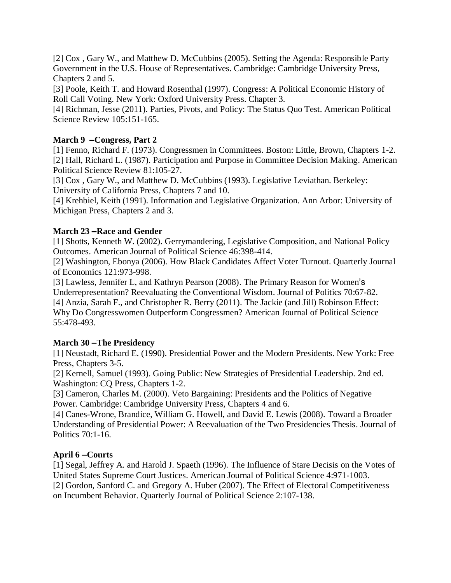[2] Cox , Gary W., and Matthew D. McCubbins (2005). Setting the Agenda: Responsible Party Government in the U.S. House of Representatives. Cambridge: Cambridge University Press, Chapters 2 and 5.

[3] Poole, Keith T. and Howard Rosenthal (1997). Congress: A Political Economic History of Roll Call Voting. New York: Oxford University Press. Chapter 3.

[4] Richman, Jesse (2011). Parties, Pivots, and Policy: The Status Quo Test. American Political Science Review 105:151-165.

## **March 9 –Congress, Part 2**

[1] Fenno, Richard F. (1973). Congressmen in Committees. Boston: Little, Brown, Chapters 1-2. [2] Hall, Richard L. (1987). Participation and Purpose in Committee Decision Making. American Political Science Review 81:105-27.

[3] Cox, Gary W., and Matthew D. McCubbins (1993). Legislative Leviathan. Berkeley: University of California Press, Chapters 7 and 10.

[4] Krehbiel, Keith (1991). Information and Legislative Organization. Ann Arbor: University of Michigan Press, Chapters 2 and 3.

### **March 23 –Race and Gender**

[1] Shotts, Kenneth W. (2002). Gerrymandering, Legislative Composition, and National Policy Outcomes. American Journal of Political Science 46:398-414.

[2] Washington, Ebonya (2006). How Black Candidates Affect Voter Turnout. Quarterly Journal of Economics 121:973-998.

[3] Lawless, Jennifer L, and Kathryn Pearson (2008). The Primary Reason for Women's Underrepresentation? Reevaluating the Conventional Wisdom. Journal of Politics 70:67-82. [4] Anzia, Sarah F., and Christopher R. Berry (2011). The Jackie (and Jill) Robinson Effect: Why Do Congresswomen Outperform Congressmen? American Journal of Political Science 55:478-493.

### **March 30 –The Presidency**

[1] Neustadt, Richard E. (1990). Presidential Power and the Modern Presidents. New York: Free Press, Chapters 3-5.

[2] Kernell, Samuel (1993). Going Public: New Strategies of Presidential Leadership. 2nd ed. Washington: CQ Press, Chapters 1-2.

[3] Cameron, Charles M. (2000). Veto Bargaining: Presidents and the Politics of Negative Power. Cambridge: Cambridge University Press, Chapters 4 and 6.

[4] Canes-Wrone, Brandice, William G. Howell, and David E. Lewis (2008). Toward a Broader Understanding of Presidential Power: A Reevaluation of the Two Presidencies Thesis. Journal of Politics 70:1-16.

### **April 6 –Courts**

[1] Segal, Jeffrey A. and Harold J. Spaeth (1996). The Influence of Stare Decisis on the Votes of United States Supreme Court Justices. American Journal of Political Science 4:971-1003. [2] Gordon, Sanford C. and Gregory A. Huber (2007). The Effect of Electoral Competitiveness on Incumbent Behavior. Quarterly Journal of Political Science 2:107-138.